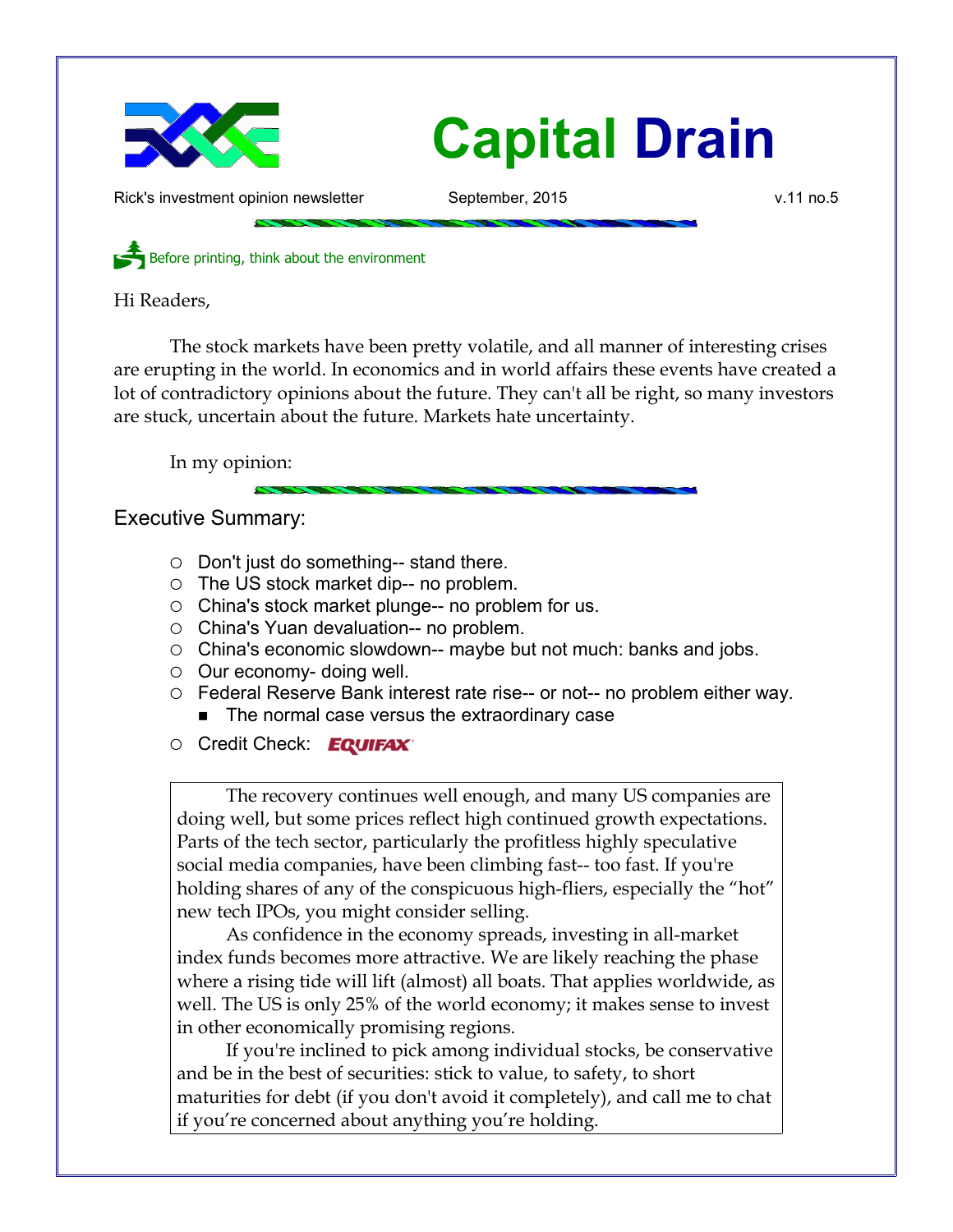

Rick's investment opinion newsletter September, 2015 v.11 no.5

Before printing, think about the environment

Hi Readers,

The stock markets have been pretty volatile, and all manner of interesting crises are erupting in the world. In economics and in world affairs these events have created a lot of contradictory opinions about the future. They can't all be right, so many investors are stuck, uncertain about the future. Markets hate uncertainty.

In my opinion:

## Executive Summary:

- Don't just do something-- stand there.
- $\circ$  The US stock market dip-- no problem.
- China's stock market plunge-- no problem for us.
- China's Yuan devaluation-- no problem.
- China's economic slowdown-- maybe but not much: banks and jobs.
- Our economy- doing well.
- Federal Reserve Bank interest rate rise-- or not-- no problem either way. ■ The normal case versus the extraordinary case
- O Credit Check: EQUIFAX®

The recovery continues well enough, and many US companies are doing well, but some prices reflect high continued growth expectations. Parts of the tech sector, particularly the profitless highly speculative social media companies, have been climbing fast-- too fast. If you're holding shares of any of the conspicuous high-fliers, especially the "hot" new tech IPOs, you might consider selling.

As confidence in the economy spreads, investing in all-market index funds becomes more attractive. We are likely reaching the phase where a rising tide will lift (almost) all boats. That applies worldwide, as well. The US is only 25% of the world economy; it makes sense to invest in other economically promising regions.

If you're inclined to pick among individual stocks, be conservative and be in the best of securities: stick to value, to safety, to short maturities for debt (if you don't avoid it completely), and call me to chat if you're concerned about anything you're holding.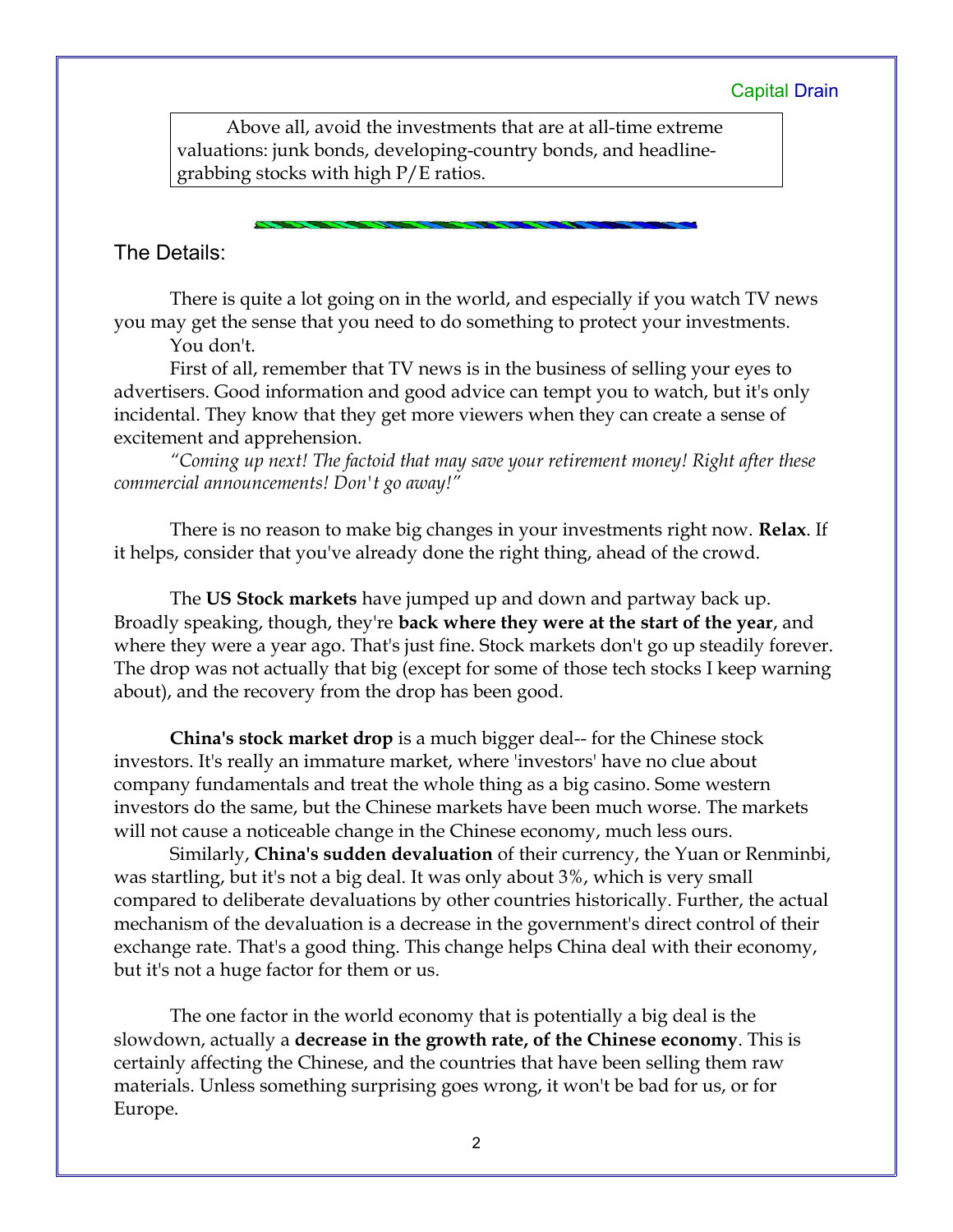Above all, avoid the investments that are at all-time extreme valuations: junk bonds, developing-country bonds, and headlinegrabbing stocks with high P/E ratios.

## The Details:

There is quite a lot going on in the world, and especially if you watch TV news you may get the sense that you need to do something to protect your investments.

You don't.

First of all, remember that TV news is in the business of selling your eyes to advertisers. Good information and good advice can tempt you to watch, but it's only incidental. They know that they get more viewers when they can create a sense of excitement and apprehension.

*"Coming up next! The factoid that may save your retirement money! Right after these commercial announcements! Don't go away!"*

There is no reason to make big changes in your investments right now. **Relax**. If it helps, consider that you've already done the right thing, ahead of the crowd.

The **US Stock markets** have jumped up and down and partway back up. Broadly speaking, though, they're **back where they were at the start of the year**, and where they were a year ago. That's just fine. Stock markets don't go up steadily forever. The drop was not actually that big (except for some of those tech stocks I keep warning about), and the recovery from the drop has been good.

**China's stock market drop** is a much bigger deal-- for the Chinese stock investors. It's really an immature market, where 'investors' have no clue about company fundamentals and treat the whole thing as a big casino. Some western investors do the same, but the Chinese markets have been much worse. The markets will not cause a noticeable change in the Chinese economy, much less ours.

Similarly, **China's sudden devaluation** of their currency, the Yuan or Renminbi, was startling, but it's not a big deal. It was only about 3%, which is very small compared to deliberate devaluations by other countries historically. Further, the actual mechanism of the devaluation is a decrease in the government's direct control of their exchange rate. That's a good thing. This change helps China deal with their economy, but it's not a huge factor for them or us.

The one factor in the world economy that is potentially a big deal is the slowdown, actually a **decrease in the growth rate, of the Chinese economy**. This is certainly affecting the Chinese, and the countries that have been selling them raw materials. Unless something surprising goes wrong, it won't be bad for us, or for Europe.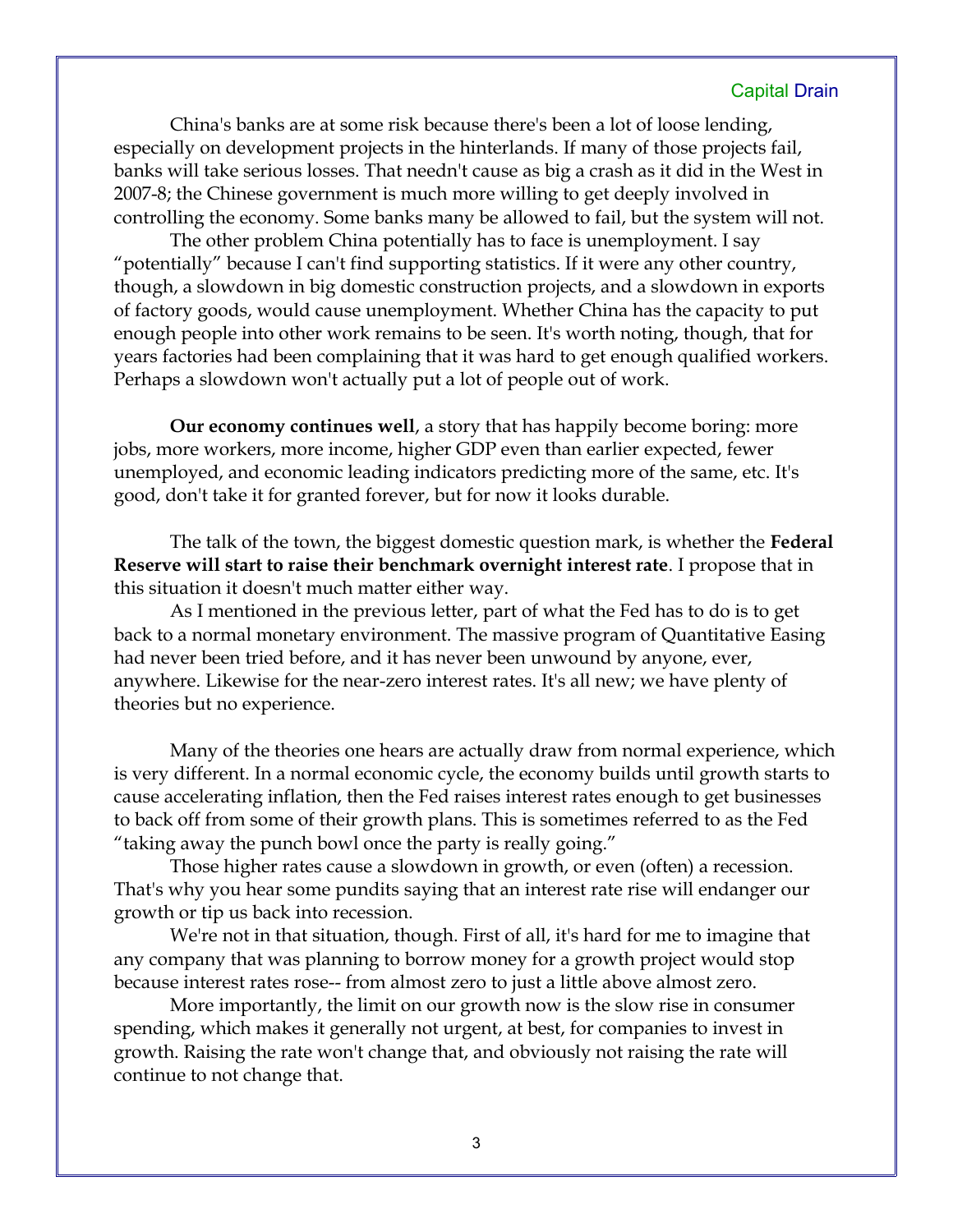China's banks are at some risk because there's been a lot of loose lending, especially on development projects in the hinterlands. If many of those projects fail, banks will take serious losses. That needn't cause as big a crash as it did in the West in 2007-8; the Chinese government is much more willing to get deeply involved in controlling the economy. Some banks many be allowed to fail, but the system will not.

The other problem China potentially has to face is unemployment. I say "potentially" because I can't find supporting statistics. If it were any other country, though, a slowdown in big domestic construction projects, and a slowdown in exports of factory goods, would cause unemployment. Whether China has the capacity to put enough people into other work remains to be seen. It's worth noting, though, that for years factories had been complaining that it was hard to get enough qualified workers. Perhaps a slowdown won't actually put a lot of people out of work.

**Our economy continues well**, a story that has happily become boring: more jobs, more workers, more income, higher GDP even than earlier expected, fewer unemployed, and economic leading indicators predicting more of the same, etc. It's good, don't take it for granted forever, but for now it looks durable.

The talk of the town, the biggest domestic question mark, is whether the **Federal Reserve will start to raise their benchmark overnight interest rate**. I propose that in this situation it doesn't much matter either way.

As I mentioned in the previous letter, part of what the Fed has to do is to get back to a normal monetary environment. The massive program of Quantitative Easing had never been tried before, and it has never been unwound by anyone, ever, anywhere. Likewise for the near-zero interest rates. It's all new; we have plenty of theories but no experience.

Many of the theories one hears are actually draw from normal experience, which is very different. In a normal economic cycle, the economy builds until growth starts to cause accelerating inflation, then the Fed raises interest rates enough to get businesses to back off from some of their growth plans. This is sometimes referred to as the Fed "taking away the punch bowl once the party is really going."

Those higher rates cause a slowdown in growth, or even (often) a recession. That's why you hear some pundits saying that an interest rate rise will endanger our growth or tip us back into recession.

We're not in that situation, though. First of all, it's hard for me to imagine that any company that was planning to borrow money for a growth project would stop because interest rates rose-- from almost zero to just a little above almost zero.

More importantly, the limit on our growth now is the slow rise in consumer spending, which makes it generally not urgent, at best, for companies to invest in growth. Raising the rate won't change that, and obviously not raising the rate will continue to not change that.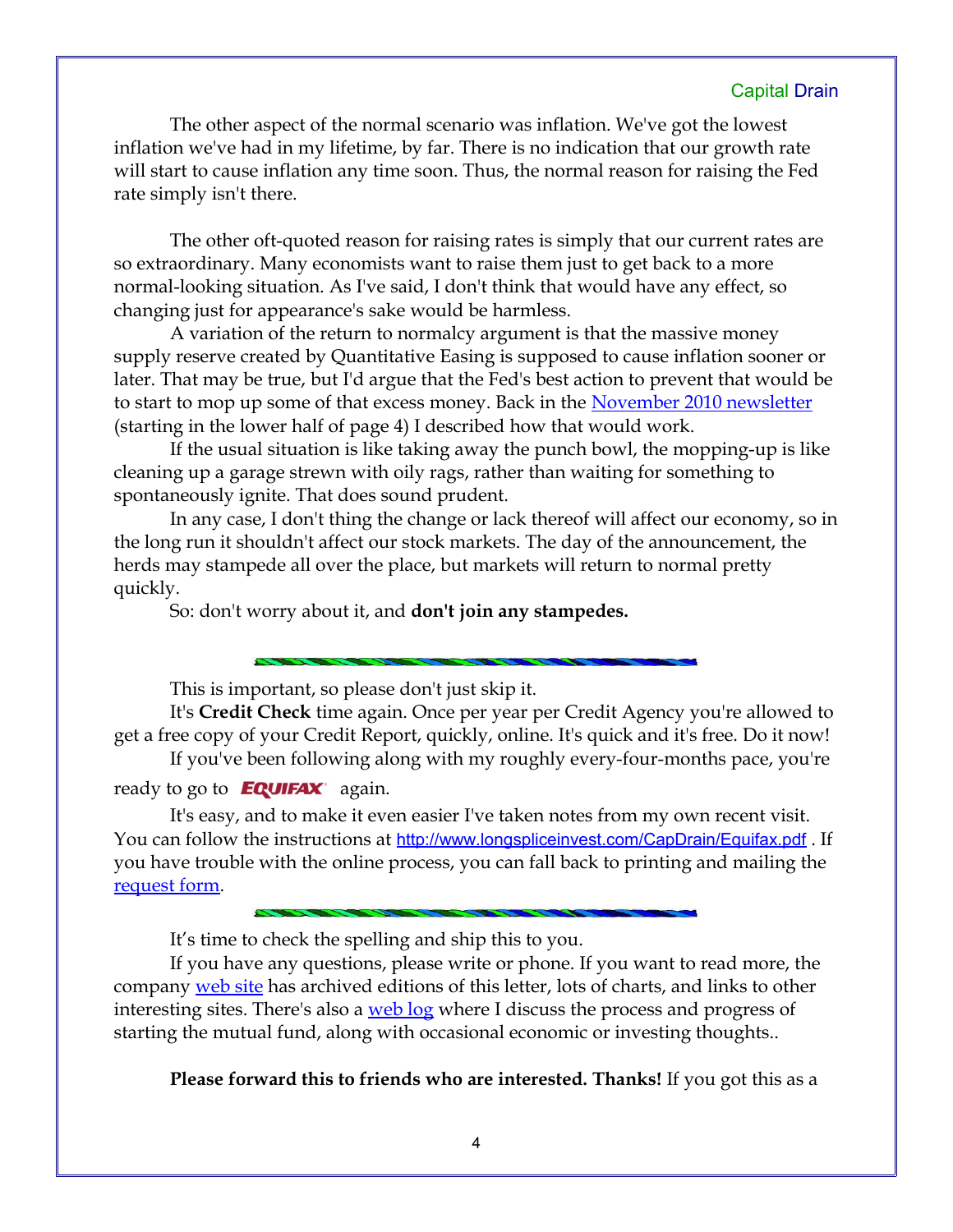The other aspect of the normal scenario was inflation. We've got the lowest inflation we've had in my lifetime, by far. There is no indication that our growth rate will start to cause inflation any time soon. Thus, the normal reason for raising the Fed rate simply isn't there.

The other oft-quoted reason for raising rates is simply that our current rates are so extraordinary. Many economists want to raise them just to get back to a more normal-looking situation. As I've said, I don't think that would have any effect, so changing just for appearance's sake would be harmless.

A variation of the return to normalcy argument is that the massive money supply reserve created by Quantitative Easing is supposed to cause inflation sooner or later. That may be true, but I'd argue that the Fed's best action to prevent that would be to start to mop up some of that excess money. Back in the [November 2010 newsletter](http://www.longspliceinvest.com/CapDrain/CapDrain_v6n4.pdf) (starting in the lower half of page 4) I described how that would work.

If the usual situation is like taking away the punch bowl, the mopping-up is like cleaning up a garage strewn with oily rags, rather than waiting for something to spontaneously ignite. That does sound prudent.

In any case, I don't thing the change or lack thereof will affect our economy, so in the long run it shouldn't affect our stock markets. The day of the announcement, the herds may stampede all over the place, but markets will return to normal pretty quickly.

So: don't worry about it, and **don't join any stampedes.**

This is important, so please don't just skip it.

It's **Credit Check** time again. Once per year per Credit Agency you're allowed to get a free copy of your Credit Report, quickly, online. It's quick and it's free. Do it now! If you've been following along with my roughly every-four-months pace, you're

ready to go to  $E \sim 20$ 

It's easy, and to make it even easier I've taken notes from my own recent visit. You can follow the instructions at <http://www.longspliceinvest.com/CapDrain/Equifax.pdf>. If you have trouble with the online process, you can fall back to printing and mailing the [request form.](https://www.annualcreditreport.com/cra/requestformfinal.pdf)

It's time to check the spelling and ship this to you.

If you have any questions, please write or phone. If you want to read more, the company [web site](http://www.LongspliceInvest.com/newsletter.shtml) has archived editions of this letter, lots of charts, and links to other interesting sites. There's also a [web log](http://www.LongspliceInvestments.com/ricksblog) where I discuss the process and progress of starting the mutual fund, along with occasional economic or investing thoughts..

**Please forward this to friends who are interested. Thanks!** If you got this as a